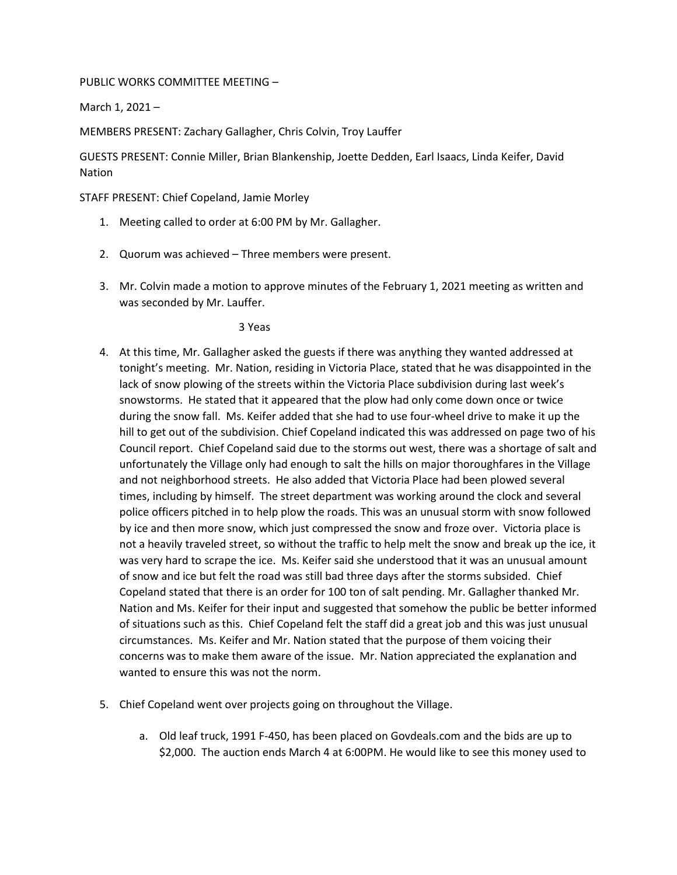PUBLIC WORKS COMMITTEE MEETING –

March 1, 2021 –

MEMBERS PRESENT: Zachary Gallagher, Chris Colvin, Troy Lauffer

GUESTS PRESENT: Connie Miller, Brian Blankenship, Joette Dedden, Earl Isaacs, Linda Keifer, David Nation

STAFF PRESENT: Chief Copeland, Jamie Morley

- 1. Meeting called to order at 6:00 PM by Mr. Gallagher.
- 2. Quorum was achieved Three members were present.
- 3. Mr. Colvin made a motion to approve minutes of the February 1, 2021 meeting as written and was seconded by Mr. Lauffer.

3 Yeas

- 4. At this time, Mr. Gallagher asked the guests if there was anything they wanted addressed at tonight's meeting. Mr. Nation, residing in Victoria Place, stated that he was disappointed in the lack of snow plowing of the streets within the Victoria Place subdivision during last week's snowstorms. He stated that it appeared that the plow had only come down once or twice during the snow fall. Ms. Keifer added that she had to use four-wheel drive to make it up the hill to get out of the subdivision. Chief Copeland indicated this was addressed on page two of his Council report. Chief Copeland said due to the storms out west, there was a shortage of salt and unfortunately the Village only had enough to salt the hills on major thoroughfares in the Village and not neighborhood streets. He also added that Victoria Place had been plowed several times, including by himself. The street department was working around the clock and several police officers pitched in to help plow the roads. This was an unusual storm with snow followed by ice and then more snow, which just compressed the snow and froze over. Victoria place is not a heavily traveled street, so without the traffic to help melt the snow and break up the ice, it was very hard to scrape the ice. Ms. Keifer said she understood that it was an unusual amount of snow and ice but felt the road was still bad three days after the storms subsided. Chief Copeland stated that there is an order for 100 ton of salt pending. Mr. Gallagher thanked Mr. Nation and Ms. Keifer for their input and suggested that somehow the public be better informed of situations such as this. Chief Copeland felt the staff did a great job and this was just unusual circumstances. Ms. Keifer and Mr. Nation stated that the purpose of them voicing their concerns was to make them aware of the issue. Mr. Nation appreciated the explanation and wanted to ensure this was not the norm.
- 5. Chief Copeland went over projects going on throughout the Village.
	- a. Old leaf truck, 1991 F-450, has been placed on Govdeals.com and the bids are up to \$2,000. The auction ends March 4 at 6:00PM. He would like to see this money used to